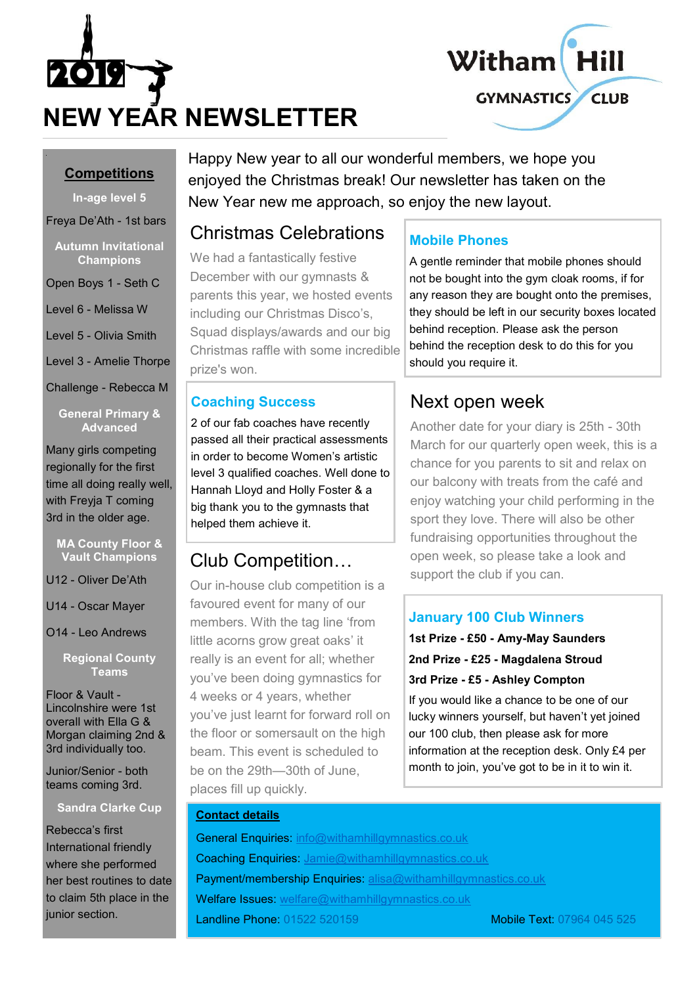



#### **Competitions**

**In-age level 5**

Freya De'Ath - 1st bars

**Autumn Invitational Champions**

Open Boys 1 - Seth C

Level 6 - Melissa W

Level 5 - Olivia Smith

Level 3 - Amelie Thorpe

Challenge - Rebecca M

**General Primary & Advanced**

Many girls competing regionally for the first time all doing really well, with Freyja T coming 3rd in the older age.

#### **MA County Floor & Vault Champions**

U12 - Oliver De'Ath

U14 - Oscar Mayer

O14 - Leo Andrews

**Regional County Teams**

Floor & Vault - Lincolnshire were 1st overall with Ella G & Morgan claiming 2nd & 3rd individually too.

Junior/Senior - both teams coming 3rd.

#### **Sandra Clarke Cup**

Rebecca's first International friendly where she performed her best routines to date to claim 5th place in the junior section.

Happy New year to all our wonderful members, we hope you enjoyed the Christmas break! Our newsletter has taken on the New Year new me approach, so enjoy the new layout.

## Christmas Celebrations

We had a fantastically festive December with our gymnasts & parents this year, we hosted events including our Christmas Disco's, Squad displays/awards and our big Christmas raffle with some incredible prize's won.

### **Coaching Success**

2 of our fab coaches have recently passed all their practical assessments in order to become Women's artistic level 3 qualified coaches. Well done to Hannah Lloyd and Holly Foster & a big thank you to the gymnasts that helped them achieve it.

## Club Competition…

Our in-house club competition is a favoured event for many of our members. With the tag line 'from little acorns grow great oaks' it really is an event for all; whether you've been doing gymnastics for 4 weeks or 4 years, whether you've just learnt for forward roll on the floor or somersault on the high beam. This event is scheduled to be on the 29th—30th of June, places fill up quickly.

## **Mobile Phones**

A gentle reminder that mobile phones should not be bought into the gym cloak rooms, if for any reason they are bought onto the premises, they should be left in our security boxes located behind reception. Please ask the person behind the reception desk to do this for you should you require it.

## Next open week

Another date for your diary is 25th - 30th March for our quarterly open week, this is a chance for you parents to sit and relax on our balcony with treats from the café and enjoy watching your child performing in the sport they love. There will also be other fundraising opportunities throughout the open week, so please take a look and support the club if you can.

### **January 100 Club Winners**

**1st Prize - £50 - Amy-May Saunders 2nd Prize - £25 - Magdalena Stroud 3rd Prize - £5 - Ashley Compton**

If you would like a chance to be one of our lucky winners yourself, but haven't yet joined our 100 club, then please ask for more information at the reception desk. Only £4 per month to join, you've got to be in it to win it.

#### **Contact details**

General Enquiries: [info@withamhillgymnastics.co.uk](mailto:info@withamhillgymnastics.co.uk) Coaching Enquiries: [Jamie@withamhillgymnastics.co.uk](mailto:Jamie@withamhillgymnastics.co.uk) Payment/membership Enquiries: [alisa@withamhillgymnastics.co.uk](mailto:alisa@withamhillgymnastics.co.uk) Welfare Issues: [welfare@withamhillgymnastics.co.uk](mailto:welfare@withamhillgymnastics.co.uk) **Landline Phone:** 01522 520159 Mobile Text: 07964 045 525